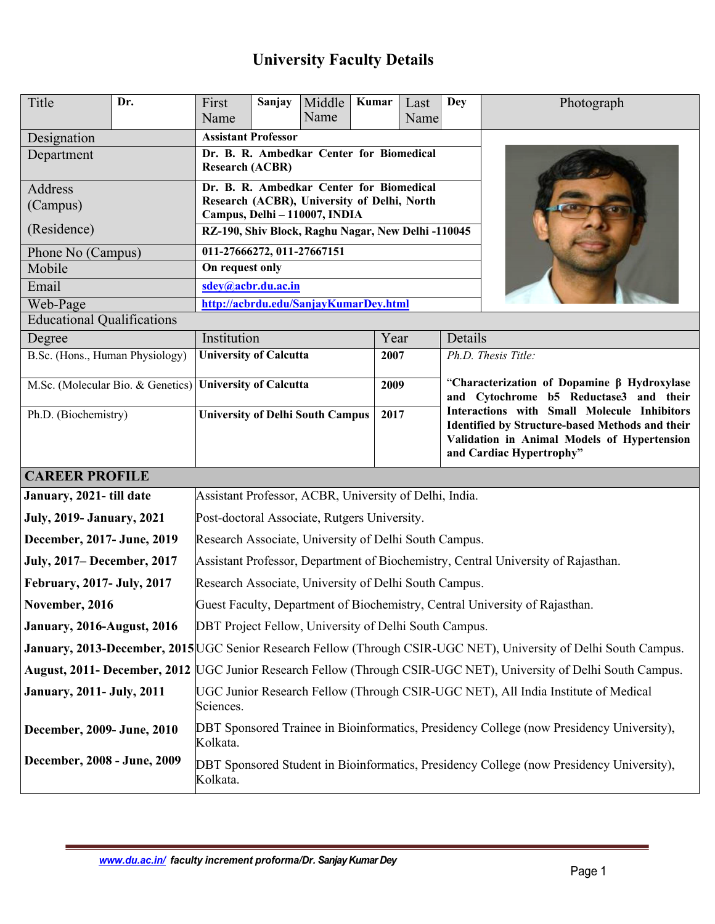# **University Faculty Details**

| Title                                                    | Dr.                                                                                                               | First<br>Name                                                                                                            | Sanjay | Middle<br>Name | Kumar | Last<br>Name                                                                                                                                                                                                                                                       | <b>Dey</b>          | Photograph |  |
|----------------------------------------------------------|-------------------------------------------------------------------------------------------------------------------|--------------------------------------------------------------------------------------------------------------------------|--------|----------------|-------|--------------------------------------------------------------------------------------------------------------------------------------------------------------------------------------------------------------------------------------------------------------------|---------------------|------------|--|
| Designation                                              |                                                                                                                   | <b>Assistant Professor</b>                                                                                               |        |                |       |                                                                                                                                                                                                                                                                    |                     |            |  |
| Department                                               |                                                                                                                   | Dr. B. R. Ambedkar Center for Biomedical<br><b>Research (ACBR)</b>                                                       |        |                |       |                                                                                                                                                                                                                                                                    |                     |            |  |
| Address<br>(Campus)                                      |                                                                                                                   | Dr. B. R. Ambedkar Center for Biomedical<br>Research (ACBR), University of Delhi, North<br>Campus, Delhi - 110007, INDIA |        |                |       |                                                                                                                                                                                                                                                                    |                     |            |  |
| (Residence)                                              |                                                                                                                   | RZ-190, Shiv Block, Raghu Nagar, New Delhi -110045                                                                       |        |                |       |                                                                                                                                                                                                                                                                    |                     |            |  |
| Phone No (Campus)                                        |                                                                                                                   | 011-27666272, 011-27667151                                                                                               |        |                |       |                                                                                                                                                                                                                                                                    |                     |            |  |
| Mobile                                                   |                                                                                                                   | On request only                                                                                                          |        |                |       |                                                                                                                                                                                                                                                                    |                     |            |  |
| Email                                                    |                                                                                                                   | sdey@acbr.du.ac.in                                                                                                       |        |                |       |                                                                                                                                                                                                                                                                    |                     |            |  |
| Web-Page                                                 | http://acbrdu.edu/SanjayKumarDey.html                                                                             |                                                                                                                          |        |                |       |                                                                                                                                                                                                                                                                    |                     |            |  |
| <b>Educational Qualifications</b>                        |                                                                                                                   |                                                                                                                          |        |                |       |                                                                                                                                                                                                                                                                    |                     |            |  |
| Degree                                                   | Institution                                                                                                       |                                                                                                                          |        | Year           |       | Details                                                                                                                                                                                                                                                            |                     |            |  |
| B.Sc. (Hons., Human Physiology)                          |                                                                                                                   | <b>University of Calcutta</b>                                                                                            |        | 2007           |       |                                                                                                                                                                                                                                                                    | Ph.D. Thesis Title: |            |  |
| M.Sc. (Molecular Bio. & Genetics) University of Calcutta |                                                                                                                   |                                                                                                                          |        | 2009           |       | "Characterization of Dopamine β Hydroxylase<br>and Cytochrome b5 Reductase3 and their<br>Interactions with Small Molecule Inhibitors<br>Identified by Structure-based Methods and their<br>Validation in Animal Models of Hypertension<br>and Cardiac Hypertrophy" |                     |            |  |
| Ph.D. (Biochemistry)                                     |                                                                                                                   | <b>University of Delhi South Campus</b>                                                                                  |        | 2017           |       |                                                                                                                                                                                                                                                                    |                     |            |  |
| <b>CAREER PROFILE</b>                                    |                                                                                                                   |                                                                                                                          |        |                |       |                                                                                                                                                                                                                                                                    |                     |            |  |
| January, 2021- till date                                 | Assistant Professor, ACBR, University of Delhi, India.                                                            |                                                                                                                          |        |                |       |                                                                                                                                                                                                                                                                    |                     |            |  |
| <b>July, 2019- January, 2021</b>                         |                                                                                                                   | Post-doctoral Associate, Rutgers University.                                                                             |        |                |       |                                                                                                                                                                                                                                                                    |                     |            |  |
| December, 2017- June, 2019                               |                                                                                                                   | Research Associate, University of Delhi South Campus.                                                                    |        |                |       |                                                                                                                                                                                                                                                                    |                     |            |  |
| July, 2017– December, 2017                               |                                                                                                                   | Assistant Professor, Department of Biochemistry, Central University of Rajasthan.                                        |        |                |       |                                                                                                                                                                                                                                                                    |                     |            |  |
| February, 2017- July, 2017                               |                                                                                                                   | Research Associate, University of Delhi South Campus.                                                                    |        |                |       |                                                                                                                                                                                                                                                                    |                     |            |  |
| November, 2016                                           |                                                                                                                   | Guest Faculty, Department of Biochemistry, Central University of Rajasthan.                                              |        |                |       |                                                                                                                                                                                                                                                                    |                     |            |  |
| <b>January, 2016-August, 2016</b>                        |                                                                                                                   | DBT Project Fellow, University of Delhi South Campus.                                                                    |        |                |       |                                                                                                                                                                                                                                                                    |                     |            |  |
|                                                          | January, 2013-December, 2015 UGC Senior Research Fellow (Through CSIR-UGC NET), University of Delhi South Campus. |                                                                                                                          |        |                |       |                                                                                                                                                                                                                                                                    |                     |            |  |
|                                                          |                                                                                                                   | August, 2011- December, 2012 UGC Junior Research Fellow (Through CSIR-UGC NET), University of Delhi South Campus.        |        |                |       |                                                                                                                                                                                                                                                                    |                     |            |  |
| <b>January, 2011- July, 2011</b>                         |                                                                                                                   | UGC Junior Research Fellow (Through CSIR-UGC NET), All India Institute of Medical<br>Sciences.                           |        |                |       |                                                                                                                                                                                                                                                                    |                     |            |  |
| December, 2009- June, 2010                               |                                                                                                                   | DBT Sponsored Trainee in Bioinformatics, Presidency College (now Presidency University),<br>Kolkata.                     |        |                |       |                                                                                                                                                                                                                                                                    |                     |            |  |
| December, 2008 - June, 2009                              |                                                                                                                   | DBT Sponsored Student in Bioinformatics, Presidency College (now Presidency University),<br>Kolkata.                     |        |                |       |                                                                                                                                                                                                                                                                    |                     |            |  |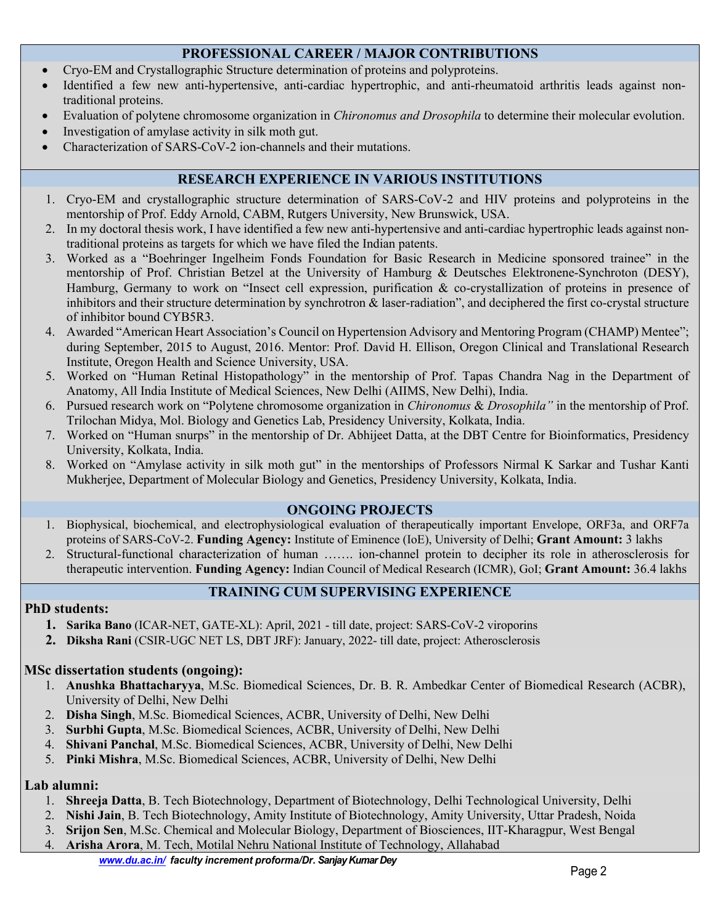# **PROFESSIONAL CAREER / MAJOR CONTRIBUTIONS**

- Cryo-EM and Crystallographic Structure determination of proteins and polyproteins.
- Identified a few new anti-hypertensive, anti-cardiac hypertrophic, and anti-rheumatoid arthritis leads against nontraditional proteins.
- Evaluation of polytene chromosome organization in *Chironomus and Drosophila* to determine their molecular evolution.
- Investigation of amylase activity in silk moth gut.
- Characterization of SARS-CoV-2 ion-channels and their mutations.

# **RESEARCH EXPERIENCE IN VARIOUS INSTITUTIONS**

- 1. Cryo-EM and crystallographic structure determination of SARS-CoV-2 and HIV proteins and polyproteins in the mentorship of Prof. Eddy Arnold, CABM, Rutgers University, New Brunswick, USA.
- 2. In my doctoral thesis work, I have identified a few new anti-hypertensive and anti-cardiac hypertrophic leads against nontraditional proteins as targets for which we have filed the Indian patents.
- 3. Worked as a "Boehringer Ingelheim Fonds Foundation for Basic Research in Medicine sponsored trainee" in the mentorship of Prof. Christian Betzel at the University of Hamburg & Deutsches Elektronene-Synchroton (DESY), Hamburg, Germany to work on "Insect cell expression, purification & co-crystallization of proteins in presence of inhibitors and their structure determination by synchrotron & laser-radiation", and deciphered the first co-crystal structure of inhibitor bound CYB5R3.
- 4. Awarded "American Heart Association's Council on Hypertension Advisory and Mentoring Program (CHAMP) Mentee"; during September, 2015 to August, 2016. Mentor: Prof. David H. Ellison, Oregon Clinical and Translational Research Institute, Oregon Health and Science University, USA.
- 5. Worked on "Human Retinal Histopathology" in the mentorship of Prof. Tapas Chandra Nag in the Department of Anatomy, All India Institute of Medical Sciences, New Delhi (AIIMS, New Delhi), India.
- 6. Pursued research work on "Polytene chromosome organization in *Chironomus* & *Drosophila"* in the mentorship of Prof. Trilochan Midya, Mol. Biology and Genetics Lab, Presidency University, Kolkata, India.
- 7. Worked on "Human snurps" in the mentorship of Dr. Abhijeet Datta, at the DBT Centre for Bioinformatics, Presidency University, Kolkata, India.
- 8. Worked on "Amylase activity in silk moth gut" in the mentorships of Professors Nirmal K Sarkar and Tushar Kanti Mukherjee, Department of Molecular Biology and Genetics, Presidency University, Kolkata, India.

## **ONGOING PROJECTS**

- 1. Biophysical, biochemical, and electrophysiological evaluation of therapeutically important Envelope, ORF3a, and ORF7a proteins of SARS-CoV-2. **Funding Agency:** Institute of Eminence (IoE), University of Delhi; **Grant Amount:** 3 lakhs
- 2. Structural-functional characterization of human ……. ion-channel protein to decipher its role in atherosclerosis for therapeutic intervention. **Funding Agency:** Indian Council of Medical Research (ICMR), GoI; **Grant Amount:** 36.4 lakhs

# **TRAINING CUM SUPERVISING EXPERIENCE**

## **PhD students:**

- **1. Sarika Bano** (ICAR-NET, GATE-XL): April, 2021 till date, project: SARS-CoV-2 viroporins
- **2. Diksha Rani** (CSIR-UGC NET LS, DBT JRF): January, 2022- till date, project: Atherosclerosis

# **MSc dissertation students (ongoing):**

- 1. **Anushka Bhattacharyya**, M.Sc. Biomedical Sciences, Dr. B. R. Ambedkar Center of Biomedical Research (ACBR), University of Delhi, New Delhi
- 2. **Disha Singh**, M.Sc. Biomedical Sciences, ACBR, University of Delhi, New Delhi
- 3. **Surbhi Gupta**, M.Sc. Biomedical Sciences, ACBR, University of Delhi, New Delhi
- 4. **Shivani Panchal**, M.Sc. Biomedical Sciences, ACBR, University of Delhi, New Delhi
- 5. **Pinki Mishra**, M.Sc. Biomedical Sciences, ACBR, University of Delhi, New Delhi

## **Lab alumni:**

- 1. **Shreeja Datta**, B. Tech Biotechnology, Department of Biotechnology, Delhi Technological University, Delhi
- 2. **Nishi Jain**, B. Tech Biotechnology, Amity Institute of Biotechnology, Amity University, Uttar Pradesh, Noida
- 3. **Srijon Sen**, M.Sc. Chemical and Molecular Biology, Department of Biosciences, IIT-Kharagpur, West Bengal
- 4. **Arisha Arora**, M. Tech, Motilal Nehru National Institute of Technology, Allahabad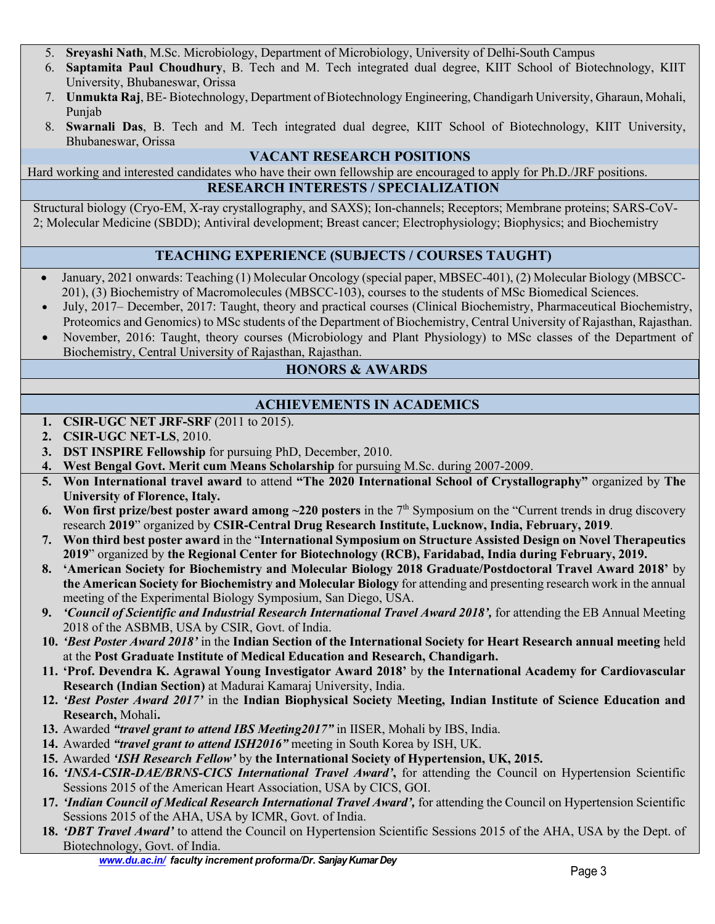- 5. **Sreyashi Nath**, M.Sc. Microbiology, Department of Microbiology, University of Delhi-South Campus
- 6. **Saptamita Paul Choudhury**, B. Tech and M. Tech integrated dual degree, KIIT School of Biotechnology, KIIT University, Bhubaneswar, Orissa
- 7. **Unmukta Raj**, BE- Biotechnology, Department of Biotechnology Engineering, Chandigarh University, Gharaun, Mohali, Punjab
- 8. **Swarnali Das**, B. Tech and M. Tech integrated dual degree, KIIT School of Biotechnology, KIIT University, Bhubaneswar, Orissa

## **VACANT RESEARCH POSITIONS**

Hard working and interested candidates who have their own fellowship are encouraged to apply for Ph.D./JRF positions. **RESEARCH INTERESTS / SPECIALIZATION**

Structural biology (Cryo-EM, X-ray crystallography, and SAXS); Ion-channels; Receptors; Membrane proteins; SARS-CoV-2; Molecular Medicine (SBDD); Antiviral development; Breast cancer; Electrophysiology; Biophysics; and Biochemistry

# **TEACHING EXPERIENCE (SUBJECTS / COURSES TAUGHT)**

- January, 2021 onwards: Teaching (1) Molecular Oncology (special paper, MBSEC-401), (2) Molecular Biology (MBSCC-201), (3) Biochemistry of Macromolecules (MBSCC-103), courses to the students of MSc Biomedical Sciences.
- July, 2017– December, 2017: Taught, theory and practical courses (Clinical Biochemistry, Pharmaceutical Biochemistry, Proteomics and Genomics) to MSc students of the Department of Biochemistry, Central University of Rajasthan, Rajasthan.
- November, 2016: Taught, theory courses (Microbiology and Plant Physiology) to MSc classes of the Department of Biochemistry, Central University of Rajasthan, Rajasthan.

# **HONORS & AWARDS**

# **ACHIEVEMENTS IN ACADEMICS**

- **1. CSIR-UGC NET JRF-SRF** (2011 to 2015).
- **2. CSIR-UGC NET-LS**, 2010.
- **3. DST INSPIRE Fellowship** for pursuing PhD, December, 2010.
- **4. West Bengal Govt. Merit cum Means Scholarship** for pursuing M.Sc. during 2007-2009.
- **5. Won International travel award** to attend **"The 2020 International School of Crystallography"** organized by **The University of Florence, Italy.**
- **6.** Won first prize/best poster award among  $\sim$ 220 posters in the 7<sup>th</sup> Symposium on the "Current trends in drug discovery research **2019**" organized by **CSIR-Central Drug Research Institute, Lucknow, India, February, 2019**.
- **7. Won third best poster award** in the "**International Symposium on Structure Assisted Design on Novel Therapeutics 2019**" organized by **the Regional Center for Biotechnology (RCB), Faridabad, India during February, 2019.**
- **8. 'American Society for Biochemistry and Molecular Biology 2018 Graduate/Postdoctoral Travel Award 2018'** by **the American Society for Biochemistry and Molecular Biology** for attending and presenting research work in the annual meeting of the Experimental Biology Symposium, San Diego, USA.
- **9.** *'Council of Scientific and Industrial Research International Travel Award 2018',* for attending the EB Annual Meeting 2018 of the ASBMB, USA by CSIR, Govt. of India.
- **10.** *'Best Poster Award 2018'* in the **Indian Section of the International Society for Heart Research annual meeting** held at the **Post Graduate Institute of Medical Education and Research, Chandigarh.**
- **11. 'Prof. Devendra K. Agrawal Young Investigator Award 2018'** by **the International Academy for Cardiovascular Research (Indian Section)** at Madurai Kamaraj University, India.
- **12.** *'Best Poster Award 2017'* in the **Indian Biophysical Society Meeting, Indian Institute of Science Education and Research,** Mohali**.**
- **13.** Awarded *"travel grant to attend IBS Meeting2017"* in IISER, Mohali by IBS, India.
- **14.** Awarded *"travel grant to attend ISH2016"* meeting in South Korea by ISH, UK.
- **15.** Awarded *'ISH Research Fellow'* by **the International Society of Hypertension, UK, 2015.**
- **16.** *'INSA-CSIR-DAE/BRNS-CICS International Travel Award'***,** for attending the Council on Hypertension Scientific Sessions 2015 of the American Heart Association, USA by CICS, GOI.
- **17.** *'Indian Council of Medical Research International Travel Award',* for attending the Council on Hypertension Scientific Sessions 2015 of the AHA, USA by ICMR, Govt. of India.
- **18.** *'DBT Travel Award'* to attend the Council on Hypertension Scientific Sessions 2015 of the AHA, USA by the Dept. of Biotechnology, Govt. of India.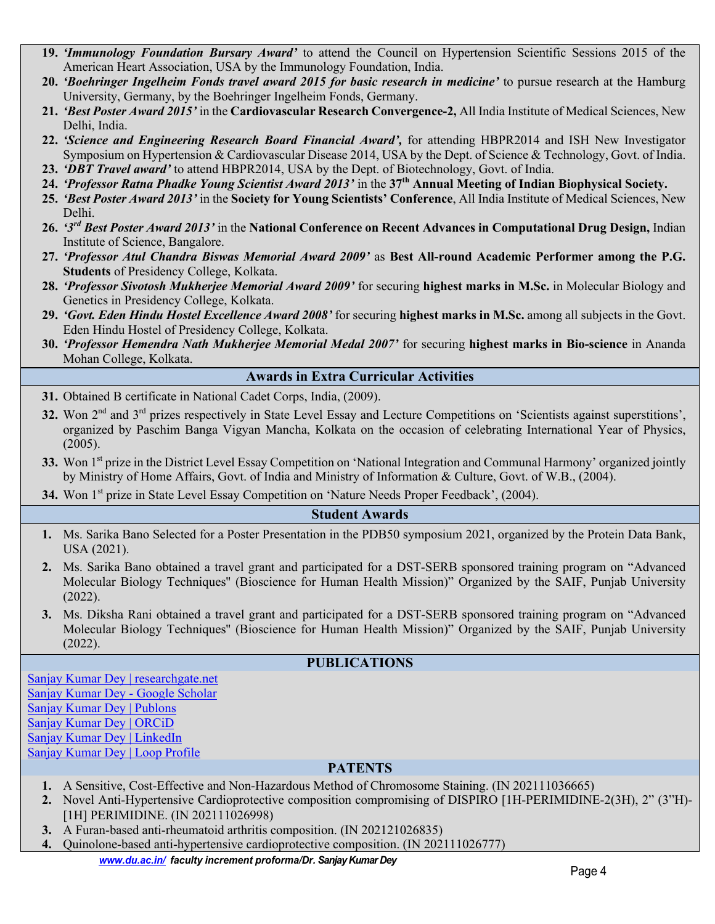- **19.** *'Immunology Foundation Bursary Award'* to attend the Council on Hypertension Scientific Sessions 2015 of the American Heart Association, USA by the Immunology Foundation, India.
- **20.** *'Boehringer Ingelheim Fonds travel award 2015 for basic research in medicine'* to pursue research at the Hamburg University, Germany, by the Boehringer Ingelheim Fonds, Germany.
- **21.** *'Best Poster Award 2015'* in the **Cardiovascular Research Convergence-2,** All India Institute of Medical Sciences, New Delhi, India.
- **22.** *'Science and Engineering Research Board Financial Award',* for attending HBPR2014 and ISH New Investigator Symposium on Hypertension & Cardiovascular Disease 2014, USA by the Dept. of Science & Technology, Govt. of India.
- **23.** *'DBT Travel award'* to attend HBPR2014, USA by the Dept. of Biotechnology, Govt. of India.
- **24.** *'Professor Ratna Phadke Young Scientist Award 2013'* in the **37th Annual Meeting of Indian Biophysical Society.**
- **25.** *'Best Poster Award 2013'* in the **Society for Young Scientists' Conference**, All India Institute of Medical Sciences, New Delhi.
- **26.** *'3rd Best Poster Award 2013'* in the **National Conference on Recent Advances in Computational Drug Design,** Indian Institute of Science, Bangalore.
- **27.** *'Professor Atul Chandra Biswas Memorial Award 2009'* as **Best All-round Academic Performer among the P.G. Students** of Presidency College, Kolkata.
- **28.** *'Professor Sivotosh Mukherjee Memorial Award 2009'* for securing **highest marks in M.Sc.** in Molecular Biology and Genetics in Presidency College, Kolkata.
- **29.** *'Govt. Eden Hindu Hostel Excellence Award 2008'* for securing **highest marks in M.Sc.** among all subjects in the Govt. Eden Hindu Hostel of Presidency College, Kolkata.
- **30.** *'Professor Hemendra Nath Mukherjee Memorial Medal 2007'* for securing **highest marks in Bio-science** in Ananda Mohan College, Kolkata.

#### **Awards in Extra Curricular Activities**

- **31.** Obtained B certificate in National Cadet Corps, India, (2009).
- **32.** Won 2<sup>nd</sup> and 3<sup>rd</sup> prizes respectively in State Level Essay and Lecture Competitions on 'Scientists against superstitions', organized by Paschim Banga Vigyan Mancha, Kolkata on the occasion of celebrating International Year of Physics, (2005).
- **33.** Won 1<sup>st</sup> prize in the District Level Essay Competition on 'National Integration and Communal Harmony' organized jointly by Ministry of Home Affairs, Govt. of India and Ministry of Information & Culture, Govt. of W.B., (2004).

34. Won 1<sup>st</sup> prize in State Level Essay Competition on 'Nature Needs Proper Feedback', (2004).

#### **Student Awards**

- **1.** Ms. Sarika Bano Selected for a Poster Presentation in the PDB50 symposium 2021, organized by the Protein Data Bank, USA (2021).
- **2.** Ms. Sarika Bano obtained a travel grant and participated for a DST-SERB sponsored training program on "Advanced Molecular Biology Techniques'' (Bioscience for Human Health Mission)" Organized by the SAIF, Punjab University (2022).
- **3.** Ms. Diksha Rani obtained a travel grant and participated for a DST-SERB sponsored training program on "Advanced Molecular Biology Techniques'' (Bioscience for Human Health Mission)" Organized by the SAIF, Punjab University (2022).

## **PUBLICATIONS**

Sanjay Kumar Dey | researchgate.net Sanjay Kumar Dey - Google Scholar Sanjay Kumar Dey | Publons Sanjay Kumar Dey | ORCiD Sanjay Kumar Dey | LinkedIn Sanjay Kumar Dey | Loop Profile

## **PATENTS**

- **1.** A Sensitive, Cost-Effective and Non-Hazardous Method of Chromosome Staining. (IN 202111036665)
- **2.** Novel Anti-Hypertensive Cardioprotective composition compromising of DISPIRO [1H-PERIMIDINE-2(3H), 2" (3"H)- [1H] PERIMIDINE. (IN 202111026998)
- **3.** A Furan-based anti-rheumatoid arthritis composition. (IN 202121026835)
- **4.** Quinolone-based anti-hypertensive cardioprotective composition. (IN 202111026777)

*www.du.ac.in/ faculty increment proforma/Dr. Sanjay Kumar Dey*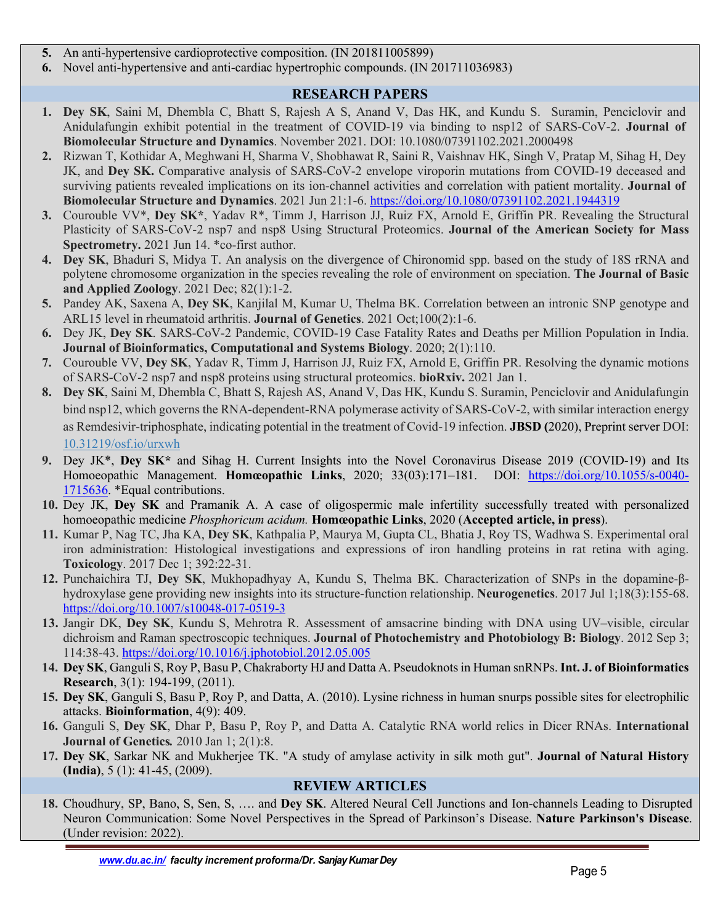- **5.** An anti-hypertensive cardioprotective composition. (IN 201811005899)
- **6.** Novel anti-hypertensive and anti-cardiac hypertrophic compounds. (IN 201711036983)

# **RESEARCH PAPERS**

- **1. Dey SK**, Saini M, Dhembla C, Bhatt S, Rajesh A S, Anand V, Das HK, and Kundu S. Suramin, Penciclovir and Anidulafungin exhibit potential in the treatment of COVID-19 via binding to nsp12 of SARS-CoV-2. **Journal of Biomolecular Structure and Dynamics**. November 2021. DOI: 10.1080/07391102.2021.2000498
- **2.** Rizwan T, Kothidar A, Meghwani H, Sharma V, Shobhawat R, Saini R, Vaishnav HK, Singh V, Pratap M, Sihag H, Dey JK, and **Dey SK.** Comparative analysis of SARS-CoV-2 envelope viroporin mutations from COVID-19 deceased and surviving patients revealed implications on its ion-channel activities and correlation with patient mortality. **Journal of Biomolecular Structure and Dynamics**. 2021 Jun 21:1-6. https://doi.org/10.1080/07391102.2021.1944319
- **3.** Courouble VV\*, **Dey SK\***, Yadav R\*, Timm J, Harrison JJ, Ruiz FX, Arnold E, Griffin PR. Revealing the Structural Plasticity of SARS-CoV-2 nsp7 and nsp8 Using Structural Proteomics. **Journal of the American Society for Mass Spectrometry.** 2021 Jun 14. \*co-first author.
- **4. Dey SK**, Bhaduri S, Midya T. An analysis on the divergence of Chironomid spp. based on the study of 18S rRNA and polytene chromosome organization in the species revealing the role of environment on speciation. **The Journal of Basic and Applied Zoology**. 2021 Dec; 82(1):1-2.
- **5.** Pandey AK, Saxena A, **Dey SK**, Kanjilal M, Kumar U, Thelma BK. Correlation between an intronic SNP genotype and ARL15 level in rheumatoid arthritis. **Journal of Genetics**. 2021 Oct;100(2):1-6.
- **6.** Dey JK, **Dey SK**. SARS-CoV-2 Pandemic, COVID-19 Case Fatality Rates and Deaths per Million Population in India. **Journal of Bioinformatics, Computational and Systems Biology**. 2020; 2(1):110.
- **7.** Courouble VV, **Dey SK**, Yadav R, Timm J, Harrison JJ, Ruiz FX, Arnold E, Griffin PR. Resolving the dynamic motions of SARS-CoV-2 nsp7 and nsp8 proteins using structural proteomics. **bioRxiv.** 2021 Jan 1.
- **8. Dey SK**, Saini M, Dhembla C, Bhatt S, Rajesh AS, Anand V, Das HK, Kundu S. Suramin, Penciclovir and Anidulafungin bind nsp12, which governs the RNA-dependent-RNA polymerase activity of SARS-CoV-2, with similar interaction energy as Remdesivir-triphosphate, indicating potential in the treatment of Covid-19 infection. **JBSD (**2020), Preprint server DOI: 10.31219/osf.io/urxwh
- **9.** Dey JK\*, **Dey SK\*** and Sihag H. Current Insights into the Novel Coronavirus Disease 2019 (COVID-19) and Its Homoeopathic Management. **Homœopathic Links**, 2020; 33(03):171–181. DOI: https://doi.org/10.1055/s-0040- 1715636. \*Equal contributions.
- **10.** Dey JK, **Dey SK** and Pramanik A. A case of oligospermic male infertility successfully treated with personalized homoeopathic medicine *Phosphoricum acidum.* **Homœopathic Links**, 2020 (**Accepted article, in press**).
- **11.** Kumar P, Nag TC, Jha KA, **Dey SK**, Kathpalia P, Maurya M, Gupta CL, Bhatia J, Roy TS, Wadhwa S. Experimental oral iron administration: Histological investigations and expressions of iron handling proteins in rat retina with aging. **Toxicology**. 2017 Dec 1; 392:22-31.
- **12.** Punchaichira TJ, **Dey SK**, Mukhopadhyay A, Kundu S, Thelma BK. Characterization of SNPs in the dopamine-βhydroxylase gene providing new insights into its structure-function relationship. **Neurogenetics**. 2017 Jul 1;18(3):155-68. https://doi.org/10.1007/s10048-017-0519-3
- **13.** Jangir DK, **Dey SK**, Kundu S, Mehrotra R. Assessment of amsacrine binding with DNA using UV–visible, circular dichroism and Raman spectroscopic techniques. **Journal of Photochemistry and Photobiology B: Biology**. 2012 Sep 3; 114:38-43. https://doi.org/10.1016/j.jphotobiol.2012.05.005
- **14. Dey SK**, Ganguli S, Roy P, Basu P, Chakraborty HJ and Datta A. Pseudoknots in Human snRNPs. **Int. J. of Bioinformatics Research**, 3(1): 194-199, (2011).
- **15. Dey SK**, Ganguli S, Basu P, Roy P, and Datta, A. (2010). Lysine richness in human snurps possible sites for electrophilic attacks. **Bioinformation**, 4(9): 409.
- **16.** Ganguli S, **Dey SK**, Dhar P, Basu P, Roy P, and Datta A. Catalytic RNA world relics in Dicer RNAs. **International Journal of Genetics***.* 2010 Jan 1; 2(1):8.
- **17. Dey SK**, Sarkar NK and Mukherjee TK. "A study of amylase activity in silk moth gut". **Journal of Natural History (India)**, 5 (1): 41-45, (2009).

# **REVIEW ARTICLES**

**18.** Choudhury, SP, Bano, S, Sen, S, …. and **Dey SK**. Altered Neural Cell Junctions and Ion-channels Leading to Disrupted Neuron Communication: Some Novel Perspectives in the Spread of Parkinson's Disease. **Nature Parkinson's Disease**. (Under revision: 2022).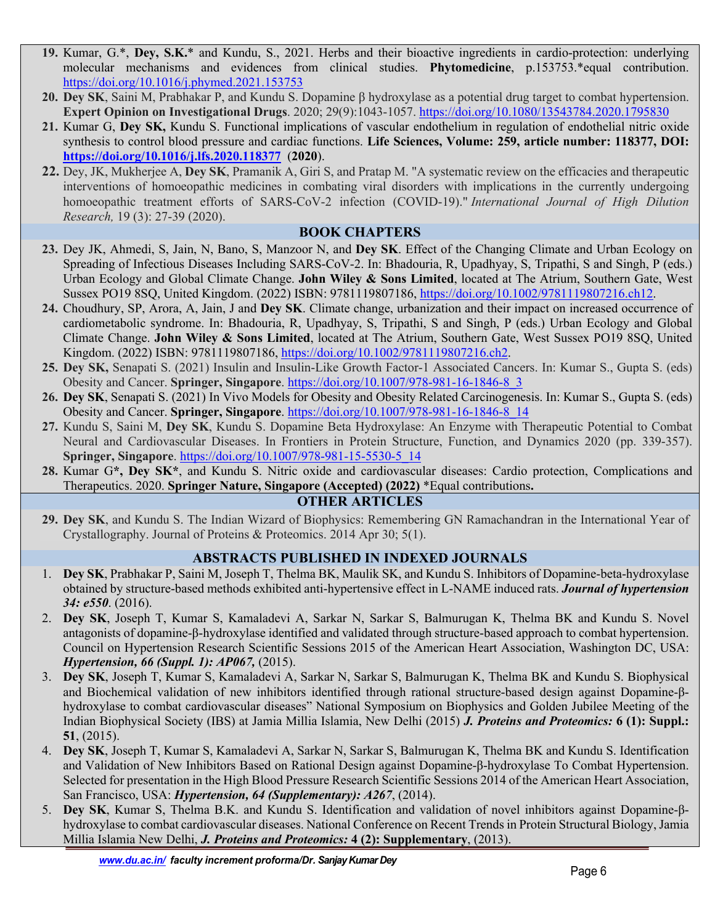- **19.** Kumar, G.\*, **Dey, S.K.**\* and Kundu, S., 2021. Herbs and their bioactive ingredients in cardio-protection: underlying molecular mechanisms and evidences from clinical studies. **Phytomedicine**, p.153753.\*equal contribution. https://doi.org/10.1016/j.phymed.2021.153753
- **20. Dey SK**, Saini M, Prabhakar P, and Kundu S. Dopamine β hydroxylase as a potential drug target to combat hypertension. **Expert Opinion on Investigational Drugs**. 2020; 29(9):1043-1057. https://doi.org/10.1080/13543784.2020.1795830
- **21.** Kumar G, **Dey SK,** Kundu S. Functional implications of vascular endothelium in regulation of endothelial nitric oxide synthesis to control blood pressure and cardiac functions. **Life Sciences, Volume: 259, article number: 118377, DOI: https://doi.org/10.1016/j.lfs.2020.118377** (**2020**).
- **22.** Dey, JK, Mukherjee A, **Dey SK**, Pramanik A, Giri S, and Pratap M. "A systematic review on the efficacies and therapeutic interventions of homoeopathic medicines in combating viral disorders with implications in the currently undergoing homoeopathic treatment efforts of SARS-CoV-2 infection (COVID-19)." *International Journal of High Dilution Research,* 19 (3): 27-39 (2020).

## **BOOK CHAPTERS**

- **23.** Dey JK, Ahmedi, S, Jain, N, Bano, S, Manzoor N, and **Dey SK**. Effect of the Changing Climate and Urban Ecology on Spreading of Infectious Diseases Including SARS-CoV-2. In: Bhadouria, R, Upadhyay, S, Tripathi, S and Singh, P (eds.) Urban Ecology and Global Climate Change. **John Wiley & Sons Limited**, located at The Atrium, Southern Gate, West Sussex PO19 8SQ, United Kingdom. (2022) ISBN: 9781119807186, https://doi.org/10.1002/9781119807216.ch12.
- **24.** Choudhury, SP, Arora, A, Jain, J and **Dey SK**. Climate change, urbanization and their impact on increased occurrence of cardiometabolic syndrome. In: Bhadouria, R, Upadhyay, S, Tripathi, S and Singh, P (eds.) Urban Ecology and Global Climate Change. **John Wiley & Sons Limited**, located at The Atrium, Southern Gate, West Sussex PO19 8SQ, United Kingdom. (2022) ISBN: 9781119807186, https://doi.org/10.1002/9781119807216.ch2.
- **25. Dey SK,** Senapati S. (2021) Insulin and Insulin-Like Growth Factor-1 Associated Cancers. In: Kumar S., Gupta S. (eds) Obesity and Cancer. **Springer, Singapore**. https://doi.org/10.1007/978-981-16-1846-8\_3
- **26. Dey SK**, Senapati S. (2021) In Vivo Models for Obesity and Obesity Related Carcinogenesis. In: Kumar S., Gupta S. (eds) Obesity and Cancer. **Springer, Singapore**. https://doi.org/10.1007/978-981-16-1846-8\_14
- **27.** Kundu S, Saini M, **Dey SK**, Kundu S. Dopamine Beta Hydroxylase: An Enzyme with Therapeutic Potential to Combat Neural and Cardiovascular Diseases. In Frontiers in Protein Structure, Function, and Dynamics 2020 (pp. 339-357). **Springer, Singapore**. https://doi.org/10.1007/978-981-15-5530-5\_14
- **28.** Kumar G**\*, Dey SK\***, and Kundu S. Nitric oxide and cardiovascular diseases: Cardio protection, Complications and Therapeutics. 2020. **Springer Nature, Singapore (Accepted) (2022)** \*Equal contributions**.**

## **OTHER ARTICLES**

**29. Dey SK**, and Kundu S. The Indian Wizard of Biophysics: Remembering GN Ramachandran in the International Year of Crystallography. Journal of Proteins & Proteomics. 2014 Apr 30; 5(1).

## **ABSTRACTS PUBLISHED IN INDEXED JOURNALS**

- 1. **Dey SK**, Prabhakar P, Saini M, Joseph T, Thelma BK, Maulik SK, and Kundu S. Inhibitors of Dopamine-beta-hydroxylase obtained by structure-based methods exhibited anti-hypertensive effect in L-NAME induced rats. *Journal of hypertension 34: e550*. (2016).
- 2. **Dey SK**, Joseph T, Kumar S, Kamaladevi A, Sarkar N, Sarkar S, Balmurugan K, Thelma BK and Kundu S. Novel antagonists of dopamine-β-hydroxylase identified and validated through structure-based approach to combat hypertension. Council on Hypertension Research Scientific Sessions 2015 of the American Heart Association, Washington DC, USA: *Hypertension, 66 (Suppl. 1): AP067,* (2015).
- 3. **Dey SK**, Joseph T, Kumar S, Kamaladevi A, Sarkar N, Sarkar S, Balmurugan K, Thelma BK and Kundu S. Biophysical and Biochemical validation of new inhibitors identified through rational structure-based design against Dopamine-βhydroxylase to combat cardiovascular diseases" National Symposium on Biophysics and Golden Jubilee Meeting of the Indian Biophysical Society (IBS) at Jamia Millia Islamia, New Delhi (2015) *J. Proteins and Proteomics:* **6 (1): Suppl.: 51**, (2015).
- 4. **Dey SK**, Joseph T, Kumar S, Kamaladevi A, Sarkar N, Sarkar S, Balmurugan K, Thelma BK and Kundu S. Identification and Validation of New Inhibitors Based on Rational Design against Dopamine-β-hydroxylase To Combat Hypertension. Selected for presentation in the High Blood Pressure Research Scientific Sessions 2014 of the American Heart Association, San Francisco, USA: *Hypertension, 64 (Supplementary): A267*, (2014).
- 5. **Dey SK**, Kumar S, Thelma B.K. and Kundu S. Identification and validation of novel inhibitors against Dopamine-βhydroxylase to combat cardiovascular diseases. National Conference on Recent Trends in Protein Structural Biology, Jamia Millia Islamia New Delhi, *J. Proteins and Proteomics:* **4 (2): Supplementary**, (2013).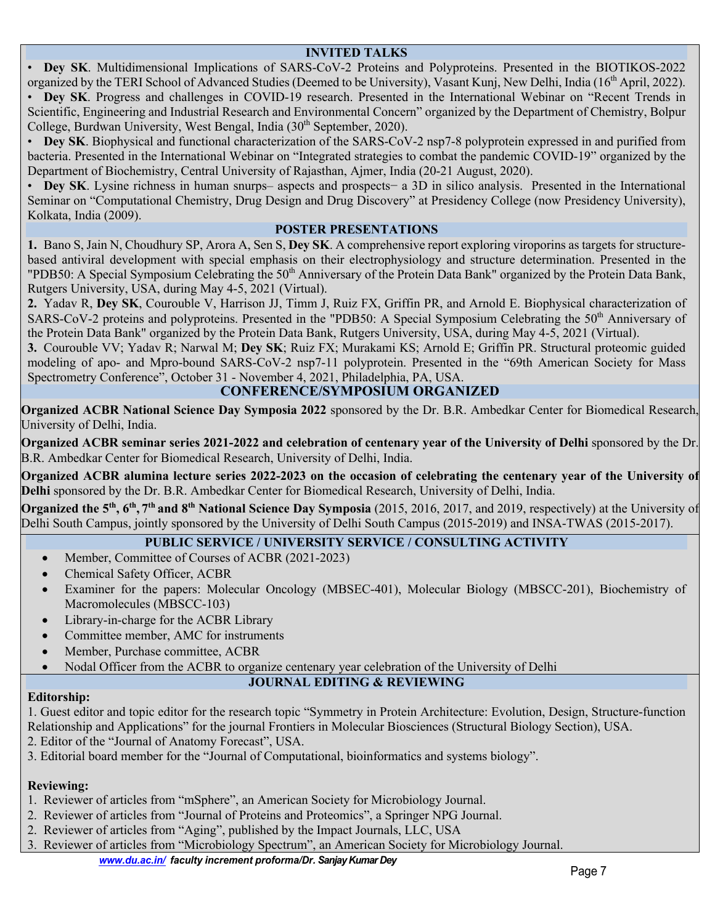#### **INVITED TALKS**

• **Dey SK**. Multidimensional Implications of SARS-CoV-2 Proteins and Polyproteins. Presented in the BIOTIKOS-2022 organized by the TERI School of Advanced Studies (Deemed to be University), Vasant Kunj, New Delhi, India (16<sup>th</sup> April, 2022).

• **Dey SK**. Progress and challenges in COVID-19 research. Presented in the International Webinar on "Recent Trends in Scientific, Engineering and Industrial Research and Environmental Concern" organized by the Department of Chemistry, Bolpur College, Burdwan University, West Bengal, India (30<sup>th</sup> September, 2020).

• **Dey SK**. Biophysical and functional characterization of the SARS-CoV-2 nsp7-8 polyprotein expressed in and purified from bacteria. Presented in the International Webinar on "Integrated strategies to combat the pandemic COVID-19" organized by the Department of Biochemistry, Central University of Rajasthan, Ajmer, India (20-21 August, 2020).

• **Dey SK**. Lysine richness in human snurps– aspects and prospects− a 3D in silico analysis. Presented in the International Seminar on "Computational Chemistry, Drug Design and Drug Discovery" at Presidency College (now Presidency University), Kolkata, India (2009).

#### **POSTER PRESENTATIONS**

**1.** Bano S, Jain N, Choudhury SP, Arora A, Sen S, **Dey SK**. A comprehensive report exploring viroporins as targets for structurebased antiviral development with special emphasis on their electrophysiology and structure determination. Presented in the "PDB50: A Special Symposium Celebrating the 50<sup>th</sup> Anniversary of the Protein Data Bank" organized by the Protein Data Bank, Rutgers University, USA, during May 4-5, 2021 (Virtual).

**2.** Yadav R, **Dey SK**, Courouble V, Harrison JJ, Timm J, Ruiz FX, Griffin PR, and Arnold E. Biophysical characterization of SARS-CoV-2 proteins and polyproteins. Presented in the "PDB50: A Special Symposium Celebrating the  $50<sup>th</sup>$  Anniversary of the Protein Data Bank" organized by the Protein Data Bank, Rutgers University, USA, during May 4-5, 2021 (Virtual).

**3.** Courouble VV; Yadav R; Narwal M; **Dey SK**; Ruiz FX; Murakami KS; Arnold E; Griffin PR. Structural proteomic guided modeling of apo- and Mpro-bound SARS-CoV-2 nsp7-11 polyprotein. Presented in the "69th American Society for Mass Spectrometry Conference", October 31 - November 4, 2021, Philadelphia, PA, USA.

## **CONFERENCE/SYMPOSIUM ORGANIZED**

**Organized ACBR National Science Day Symposia 2022** sponsored by the Dr. B.R. Ambedkar Center for Biomedical Research, University of Delhi, India.

**Organized ACBR seminar series 2021-2022 and celebration of centenary year of the University of Delhi** sponsored by the Dr. B.R. Ambedkar Center for Biomedical Research, University of Delhi, India.

**Organized ACBR alumina lecture series 2022-2023 on the occasion of celebrating the centenary year of the University of Delhi** sponsored by the Dr. B.R. Ambedkar Center for Biomedical Research, University of Delhi, India.

**Organized the 5<sup>th</sup>, 6<sup>th</sup>, 7<sup>th</sup> and 8<sup>th</sup> National Science Day Symposia** (2015, 2016, 2017, and 2019, respectively) at the University of Delhi South Campus, jointly sponsored by the University of Delhi South Campus (2015-2019) and INSA-TWAS (2015-2017).

# **PUBLIC SERVICE / UNIVERSITY SERVICE / CONSULTING ACTIVITY**

- Member, Committee of Courses of ACBR (2021-2023)
- Chemical Safety Officer, ACBR
- Examiner for the papers: Molecular Oncology (MBSEC-401), Molecular Biology (MBSCC-201), Biochemistry of Macromolecules (MBSCC-103)
- Library-in-charge for the ACBR Library
- Committee member, AMC for instruments
- Member, Purchase committee, ACBR
- Nodal Officer from the ACBR to organize centenary year celebration of the University of Delhi

## **JOURNAL EDITING & REVIEWING**

#### **Editorship:**

1. Guest editor and topic editor for the research topic "Symmetry in Protein Architecture: Evolution, Design, Structure-function

Relationship and Applications" for the journal Frontiers in Molecular Biosciences (Structural Biology Section), USA.

- 2. Editor of the "Journal of Anatomy Forecast", USA.
- 3. Editorial board member for the "Journal of Computational, bioinformatics and systems biology".

# **Reviewing:**

- 1. Reviewer of articles from "mSphere", an American Society for Microbiology Journal.
- 2. Reviewer of articles from "Journal of Proteins and Proteomics", a Springer NPG Journal.
- 2. Reviewer of articles from "Aging", published by the Impact Journals, LLC, USA
- 3. Reviewer of articles from "Microbiology Spectrum", an American Society for Microbiology Journal.